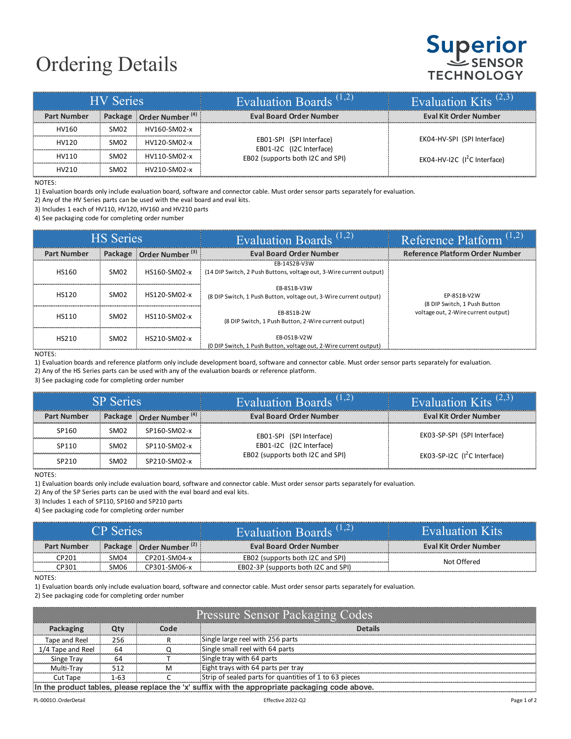## Ordering Details

## **Superior TECHNOLOGY**

| <b>HV</b> Series   |                  |                                     | Evaluation Boards <sup><math>(1,2)</math></sup>                                          | Evaluation Kits <sup><math>(2,3)</math></sup> |
|--------------------|------------------|-------------------------------------|------------------------------------------------------------------------------------------|-----------------------------------------------|
| <b>Part Number</b> |                  | Package Order Number <sup>(4)</sup> | <b>Eval Board Order Number</b>                                                           | <b>Eval Kit Order Number</b>                  |
| HV160              | SM <sub>02</sub> | HV160-SM02-x                        |                                                                                          |                                               |
| HV120              | SM <sub>02</sub> | HV120-SM02-x                        | EB01-SPI (SPI Interface)<br>EB01-I2C (I2C Interface)<br>EB02 (supports both I2C and SPI) | EK04-HV-SPI (SPI Interface)                   |
| HV110              | SM <sub>02</sub> | HV110-SM02-x                        |                                                                                          | EK04-HV-I2C $(I^2C$ Interface)                |
| HV210              | SM02             | HV210-SM02-x                        |                                                                                          |                                               |

NOTES:

1) Evaluation boards only include evaluation board, software and connector cable. Must order sensor parts separately for evaluation.

2) Any of the HV Series parts can be used with the eval board and eval kits.

3) Includes 1 each of HV110, HV120, HV160 and HV210 parts

4) See packaging code for completing order number

| <b>HS</b> Series   |                  |                                     | Evaluation Boards <sup><math>(1,2)</math></sup>                                     | Reference Platform $(1,2)$                  |
|--------------------|------------------|-------------------------------------|-------------------------------------------------------------------------------------|---------------------------------------------|
| <b>Part Number</b> |                  | Package Order Number <sup>(3)</sup> | <b>Eval Board Order Number</b>                                                      | Reference Platform Order Number             |
| HS160              | SM <sub>02</sub> | HS160-SM02-x                        | EB-14S2B-V3W<br>(14 DIP Switch, 2 Push Buttons, voltage out, 3-Wire current output) |                                             |
| HS120              | SM <sub>02</sub> | HS120-SM02-x                        | EB-8S1B-V3W<br>(8 DIP Switch, 1 Push Button, voltage out, 3-Wire current output)    | EP-8S1B-V2W<br>(8 DIP Switch, 1 Push Button |
| <b>HS110</b>       | SM <sub>02</sub> | HS110-SM02-x                        | EB-8S1B-2W<br>(8 DIP Switch, 1 Push Button, 2-Wire current output)                  | voltage out, 2-Wire current output)         |
| HS210              | SM <sub>02</sub> | HS210-SM02-x                        | EB-0S1B-V2W<br>(0 DIP Switch, 1 Push Button, voltage out, 2-Wire current output)    |                                             |

NOTES:

1) Evaluation boards and reference platform only include development board, software and connector cable. Must order sensor parts separately for evaluation.

2) Any of the HS Series parts can be used with any of the evaluation boards or reference platform.

3) See packaging code for completing order number

| <b>SP</b> Series   |                  |                                     | Evaluation Boards <sup><math>(1,2)</math></sup> | Evaluation Kits <sup><math>(2,3)</math></sup> |
|--------------------|------------------|-------------------------------------|-------------------------------------------------|-----------------------------------------------|
| <b>Part Number</b> |                  | Package Order Number <sup>(4)</sup> | <b>Eval Board Order Number</b>                  | <b>Eval Kit Order Number</b>                  |
| SP160              | SM <sub>02</sub> | SP160-SM02-x                        | EB01-SPI (SPI Interface)                        | EK03-SP-SPI (SPI Interface)                   |
| SP <sub>110</sub>  | SM <sub>02</sub> | SP110-SM02-x                        | EB01-I2C (I2C Interface)                        |                                               |
| SP <sub>210</sub>  | SM <sub>02</sub> | SP210-SM02-x                        | EB02 (supports both I2C and SPI)                | EK03-SP-I2C $(l^2C$ Interface)                |

NOTES:

1) Evaluation boards only include evaluation board, software and connector cable. Must order sensor parts separately for evaluation.

2) Any of the SP Series parts can be used with the eval board and eval kits.

3) Includes 1 each of SP110, SP160 and SP210 parts

4) See packaging code for completing order number

| 'P Series          |  |                                     | <b>Evaluation Boards</b>            | Evaluation Kits       |
|--------------------|--|-------------------------------------|-------------------------------------|-----------------------|
| <b>Part Number</b> |  | Package Order Number <sup>147</sup> | <b>Eval Board Order Number</b>      | Eval Kit Order Number |
| :P20               |  | CP201-SM04-x                        | EB02 (supports both I2C and SPI)    | Not Offered           |
| :P30               |  |                                     | EB02-3P (supports both I2C and SPI) |                       |

NOTES:

1) Evaluation boards only include evaluation board, software and connector cable. Must order sensor parts separately for evaluation.

2) See packaging code for completing order number

| <b>Pressure Sensor Packaging Codes</b>            |     |   |                                                        |
|---------------------------------------------------|-----|---|--------------------------------------------------------|
|                                                   |     |   |                                                        |
| Tape and Reel                                     | 256 |   | Single large reel with 256 parts                       |
| Tape and Reel                                     | 64  |   | Single small reel with 64 parts                        |
| Singe Tray                                        |     |   | Single tray with 64 parts                              |
| Multi-Trav                                        |     | м | Eight trays with 64 parts per tray                     |
| Cut Tane                                          |     |   | Strip of sealed parts for quantities of 1 to 63 pieces |
| suffix with the appropriate packaging code above. |     |   |                                                        |